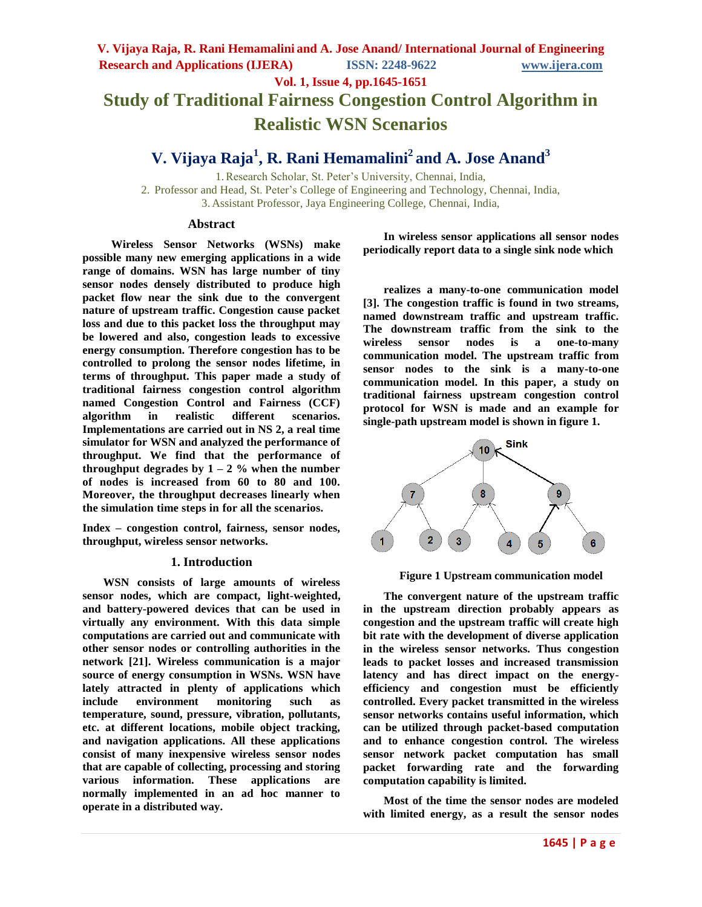**Vol. 1, Issue 4, pp.1645-1651**

# **Study of Traditional Fairness Congestion Control Algorithm in Realistic WSN Scenarios**

## **V. Vijaya Raja<sup>1</sup> , R. Rani Hemamalini<sup>2</sup> and A. Jose Anand<sup>3</sup>**

1.Research Scholar, St. Peter's University, Chennai, India, 2. Professor and Head, St. Peter's College of Engineering and Technology, Chennai, India, 3. Assistant Professor, Jaya Engineering College, Chennai, India,

## **Abstract**

**Wireless Sensor Networks (WSNs) make possible many new emerging applications in a wide range of domains. WSN has large number of tiny sensor nodes densely distributed to produce high packet flow near the sink due to the convergent nature of upstream traffic. Congestion cause packet loss and due to this packet loss the throughput may be lowered and also, congestion leads to excessive energy consumption. Therefore congestion has to be controlled to prolong the sensor nodes lifetime, in terms of throughput. This paper made a study of traditional fairness congestion control algorithm named Congestion Control and Fairness (CCF) algorithm in realistic different scenarios. Implementations are carried out in NS 2, a real time simulator for WSN and analyzed the performance of throughput. We find that the performance of throughput** degrades by  $1 - 2$  % when the number **of nodes is increased from 60 to 80 and 100. Moreover, the throughput decreases linearly when the simulation time steps in for all the scenarios.**

**Index – congestion control, fairness, sensor nodes, throughput, wireless sensor networks.**

## **1. Introduction**

**WSN consists of large amounts of wireless sensor nodes, which are compact, light-weighted, and battery-powered devices that can be used in virtually any environment. With this data simple computations are carried out and communicate with other sensor nodes or controlling authorities in the network [21]. Wireless communication is a major source of energy consumption in WSNs. WSN have lately attracted in plenty of applications which include environment monitoring such as temperature, sound, pressure, vibration, pollutants, etc. at different locations, mobile object tracking, and navigation applications. All these applications consist of many inexpensive wireless sensor nodes that are capable of collecting, processing and storing various information. These applications are normally implemented in an ad hoc manner to operate in a distributed way.** 

**In wireless sensor applications all sensor nodes periodically report data to a single sink node which** 

**realizes a many-to-one communication model [3]. The congestion traffic is found in two streams, named downstream traffic and upstream traffic. The downstream traffic from the sink to the wireless sensor nodes is a one-to-many communication model. The upstream traffic from sensor nodes to the sink is a many-to-one communication model. In this paper, a study on traditional fairness upstream congestion control protocol for WSN is made and an example for single-path upstream model is shown in figure 1.**





**The convergent nature of the upstream traffic in the upstream direction probably appears as congestion and the upstream traffic will create high bit rate with the development of diverse application in the wireless sensor networks. Thus congestion leads to packet losses and increased transmission latency and has direct impact on the energyefficiency and congestion must be efficiently controlled. Every packet transmitted in the wireless sensor networks contains useful information, which can be utilized through packet-based computation and to enhance congestion control. The wireless sensor network packet computation has small packet forwarding rate and the forwarding computation capability is limited.** 

**Most of the time the sensor nodes are modeled with limited energy, as a result the sensor nodes**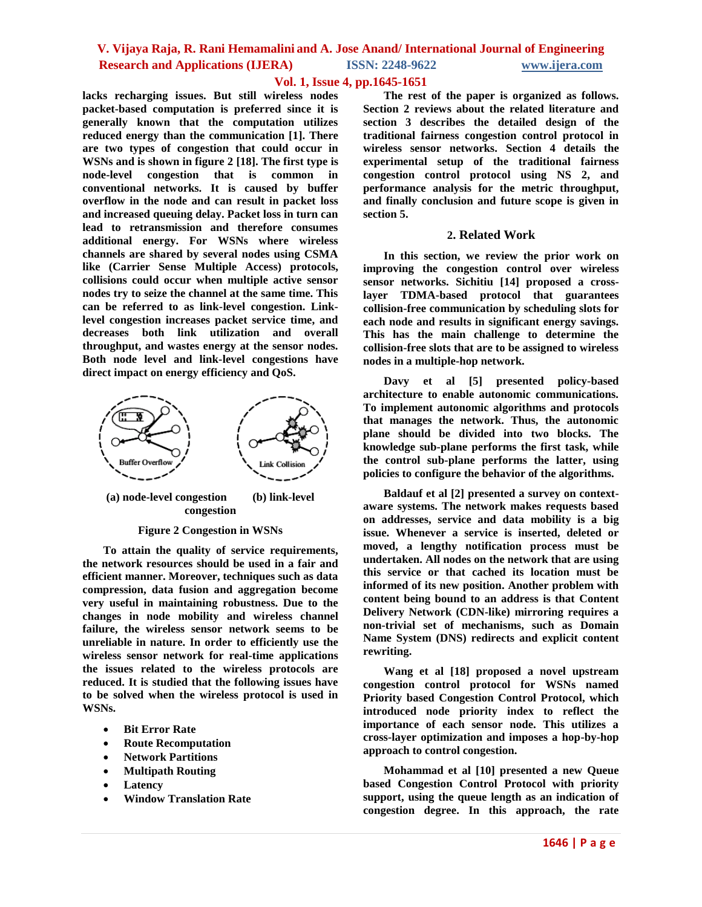## **Vol. 1, Issue 4, pp.1645-1651**

**lacks recharging issues. But still wireless nodes packet-based computation is preferred since it is generally known that the computation utilizes reduced energy than the communication [1]. There are two types of congestion that could occur in WSNs and is shown in figure 2 [18]. The first type is node-level congestion that is common in conventional networks. It is caused by buffer overflow in the node and can result in packet loss and increased queuing delay. Packet loss in turn can lead to retransmission and therefore consumes additional energy. For WSNs where wireless channels are shared by several nodes using CSMA like (Carrier Sense Multiple Access) protocols, collisions could occur when multiple active sensor nodes try to seize the channel at the same time. This can be referred to as link-level congestion. Linklevel congestion increases packet service time, and decreases both link utilization and overall throughput, and wastes energy at the sensor nodes. Both node level and link-level congestions have direct impact on energy efficiency and QoS.**



**(a) node-level congestion (b) link-level congestion**

### **Figure 2 Congestion in WSNs**

**To attain the quality of service requirements, the network resources should be used in a fair and efficient manner. Moreover, techniques such as data compression, data fusion and aggregation become very useful in maintaining robustness. Due to the changes in node mobility and wireless channel failure, the wireless sensor network seems to be unreliable in nature. In order to efficiently use the wireless sensor network for real-time applications the issues related to the wireless protocols are reduced. It is studied that the following issues have to be solved when the wireless protocol is used in WSNs.**

- **Bit Error Rate**
- **Route Recomputation**
- **Network Partitions**
- **Multipath Routing**
- **Latency**
- **Window Translation Rate**

**The rest of the paper is organized as follows. Section 2 reviews about the related literature and section 3 describes the detailed design of the traditional fairness congestion control protocol in wireless sensor networks. Section 4 details the experimental setup of the traditional fairness congestion control protocol using NS 2, and performance analysis for the metric throughput, and finally conclusion and future scope is given in section 5.**

### **2. Related Work**

**In this section, we review the prior work on improving the congestion control over wireless sensor networks. Sichitiu [14] proposed a crosslayer TDMA-based protocol that guarantees collision-free communication by scheduling slots for each node and results in significant energy savings. This has the main challenge to determine the collision-free slots that are to be assigned to wireless nodes in a multiple-hop network.**

**Davy et al [5] presented policy-based architecture to enable autonomic communications. To implement autonomic algorithms and protocols that manages the network. Thus, the autonomic plane should be divided into two blocks. The knowledge sub-plane performs the first task, while the control sub-plane performs the latter, using policies to configure the behavior of the algorithms.**

**Baldauf et al [2] presented a survey on contextaware systems. The network makes requests based on addresses, service and data mobility is a big issue. Whenever a service is inserted, deleted or moved, a lengthy notification process must be undertaken. All nodes on the network that are using this service or that cached its location must be informed of its new position. Another problem with content being bound to an address is that Content Delivery Network (CDN-like) mirroring requires a non-trivial set of mechanisms, such as Domain Name System (DNS) redirects and explicit content rewriting.**

**Wang et al [18] proposed a novel upstream congestion control protocol for WSNs named Priority based Congestion Control Protocol, which introduced node priority index to reflect the importance of each sensor node. This utilizes a cross-layer optimization and imposes a hop-by-hop approach to control congestion.** 

**Mohammad et al [10] presented a new Queue based Congestion Control Protocol with priority support, using the queue length as an indication of congestion degree. In this approach, the rate**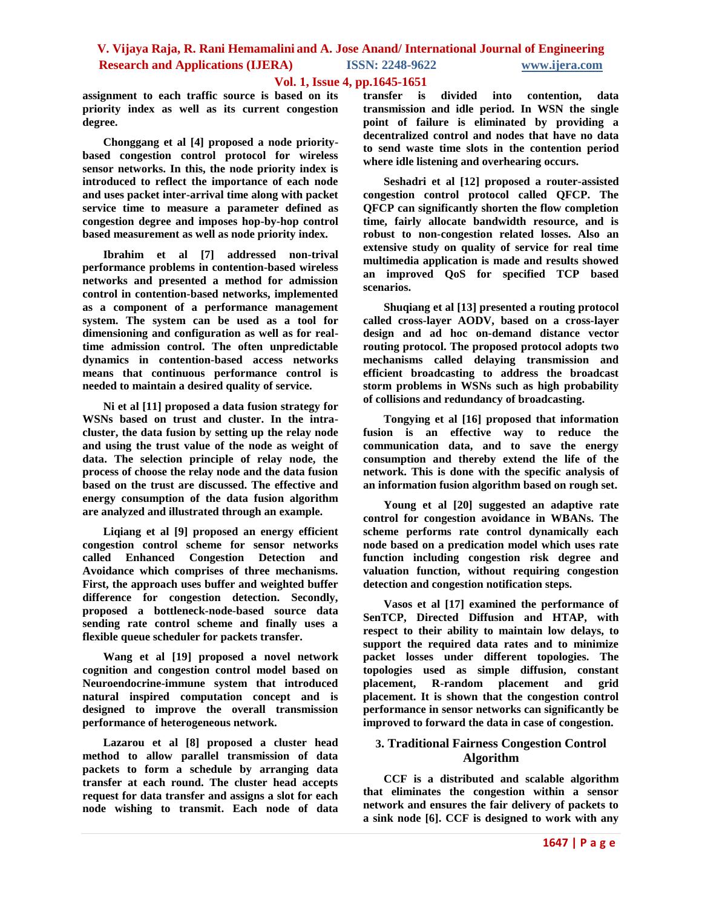## **Vol. 1, Issue 4, pp.1645-1651**

**assignment to each traffic source is based on its priority index as well as its current congestion degree.**

**Chonggang et al [4] proposed a node prioritybased congestion control protocol for wireless sensor networks. In this, the node priority index is introduced to reflect the importance of each node and uses packet inter-arrival time along with packet service time to measure a parameter defined as congestion degree and imposes hop-by-hop control based measurement as well as node priority index.**

**Ibrahim et al [7] addressed non-trival performance problems in contention-based wireless networks and presented a method for admission control in contention-based networks, implemented as a component of a performance management system. The system can be used as a tool for dimensioning and configuration as well as for realtime admission control. The often unpredictable dynamics in contention-based access networks means that continuous performance control is needed to maintain a desired quality of service.**

**Ni et al [11] proposed a data fusion strategy for WSNs based on trust and cluster. In the intracluster, the data fusion by setting up the relay node and using the trust value of the node as weight of data. The selection principle of relay node, the process of choose the relay node and the data fusion based on the trust are discussed. The effective and energy consumption of the data fusion algorithm are analyzed and illustrated through an example.**

**Liqiang et al [9] proposed an energy efficient congestion control scheme for sensor networks called Enhanced Congestion Detection and Avoidance which comprises of three mechanisms. First, the approach uses buffer and weighted buffer difference for congestion detection. Secondly, proposed a bottleneck-node-based source data sending rate control scheme and finally uses a flexible queue scheduler for packets transfer.**

**Wang et al [19] proposed a novel network cognition and congestion control model based on Neuroendocrine-immune system that introduced natural inspired computation concept and is designed to improve the overall transmission performance of heterogeneous network.**

**Lazarou et al [8] proposed a cluster head method to allow parallel transmission of data packets to form a schedule by arranging data transfer at each round. The cluster head accepts request for data transfer and assigns a slot for each node wishing to transmit. Each node of data**

**transfer is divided into contention, data transmission and idle period. In WSN the single point of failure is eliminated by providing a decentralized control and nodes that have no data to send waste time slots in the contention period where idle listening and overhearing occurs.**

**Seshadri et al [12] proposed a router-assisted congestion control protocol called QFCP. The QFCP can significantly shorten the flow completion time, fairly allocate bandwidth resource, and is robust to non-congestion related losses. Also an extensive study on quality of service for real time multimedia application is made and results showed an improved QoS for specified TCP based scenarios.**

**Shuqiang et al [13] presented a routing protocol called cross-layer AODV, based on a cross-layer design and ad hoc on-demand distance vector routing protocol. The proposed protocol adopts two mechanisms called delaying transmission and efficient broadcasting to address the broadcast storm problems in WSNs such as high probability of collisions and redundancy of broadcasting.**

**Tongying et al [16] proposed that information fusion is an effective way to reduce the communication data, and to save the energy consumption and thereby extend the life of the network. This is done with the specific analysis of an information fusion algorithm based on rough set.**

**Young et al [20] suggested an adaptive rate control for congestion avoidance in WBANs. The scheme performs rate control dynamically each node based on a predication model which uses rate function including congestion risk degree and valuation function, without requiring congestion detection and congestion notification steps.**

**Vasos et al [17] examined the performance of SenTCP, Directed Diffusion and HTAP, with respect to their ability to maintain low delays, to support the required data rates and to minimize packet losses under different topologies. The topologies used as simple diffusion, constant placement, R-random placement and grid placement. It is shown that the congestion control performance in sensor networks can significantly be improved to forward the data in case of congestion.**

## **3. Traditional Fairness Congestion Control Algorithm**

**CCF is a distributed and scalable algorithm that eliminates the congestion within a sensor network and ensures the fair delivery of packets to a sink node [6]. CCF is designed to work with any**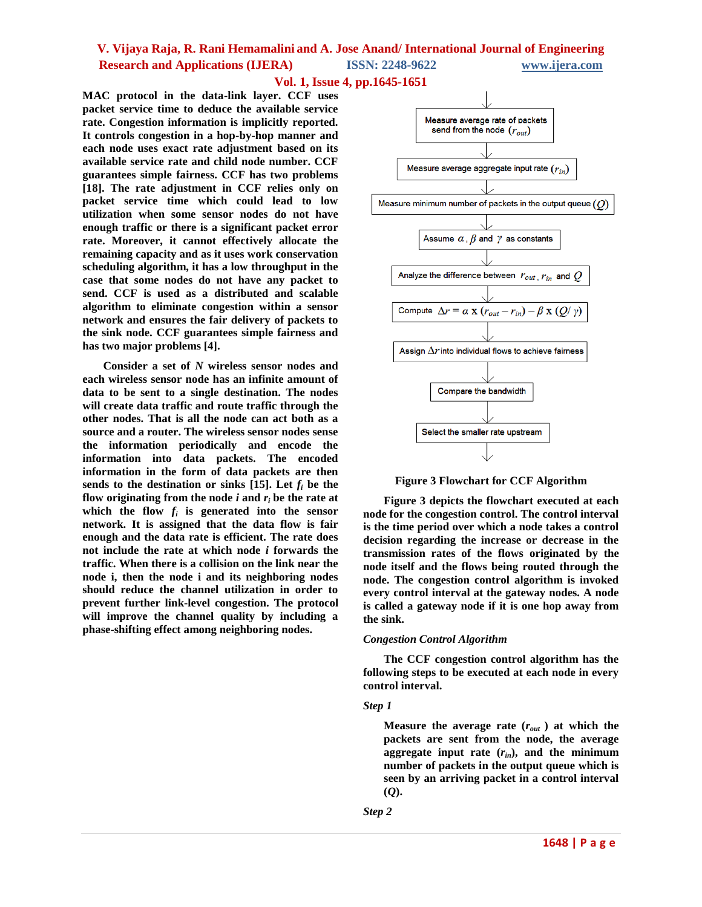## **Vol. 1, Issue 4, pp.1645-1651**

**MAC protocol in the data-link layer. CCF uses packet service time to deduce the available service rate. Congestion information is implicitly reported. It controls congestion in a hop-by-hop manner and each node uses exact rate adjustment based on its available service rate and child node number. CCF guarantees simple fairness. CCF has two problems [18]. The rate adjustment in CCF relies only on packet service time which could lead to low utilization when some sensor nodes do not have enough traffic or there is a significant packet error rate. Moreover, it cannot effectively allocate the remaining capacity and as it uses work conservation scheduling algorithm, it has a low throughput in the case that some nodes do not have any packet to send. CCF is used as a distributed and scalable algorithm to eliminate congestion within a sensor network and ensures the fair delivery of packets to the sink node. CCF guarantees simple fairness and has two major problems [4].**

**Consider a set of** *N* **wireless sensor nodes and each wireless sensor node has an infinite amount of data to be sent to a single destination. The nodes will create data traffic and route traffic through the other nodes. That is all the node can act both as a source and a router. The wireless sensor nodes sense the information periodically and encode the information into data packets. The encoded information in the form of data packets are then**  sends to the destination or sinks [15]. Let  $f_i$  be the **flow originating from the node**  $i$  **and**  $r_i$  **be the rate at** which the flow  $f_i$  is generated into the sensor **network. It is assigned that the data flow is fair enough and the data rate is efficient. The rate does not include the rate at which node** *i* **forwards the traffic. When there is a collision on the link near the node i, then the node i and its neighboring nodes should reduce the channel utilization in order to prevent further link-level congestion. The protocol will improve the channel quality by including a phase-shifting effect among neighboring nodes.**



**Figure 3 Flowchart for CCF Algorithm**

**Figure 3 depicts the flowchart executed at each node for the congestion control. The control interval is the time period over which a node takes a control decision regarding the increase or decrease in the transmission rates of the flows originated by the node itself and the flows being routed through the node. The congestion control algorithm is invoked every control interval at the gateway nodes. A node is called a gateway node if it is one hop away from the sink.**

#### *Congestion Control Algorithm*

**The CCF congestion control algorithm has the following steps to be executed at each node in every control interval.**

#### *Step 1*

**Measure the average rate (***rout* **) at which the packets are sent from the node, the average aggregate input rate (***rin***), and the minimum number of packets in the output queue which is seen by an arriving packet in a control interval (***Q***).**

*Step 2*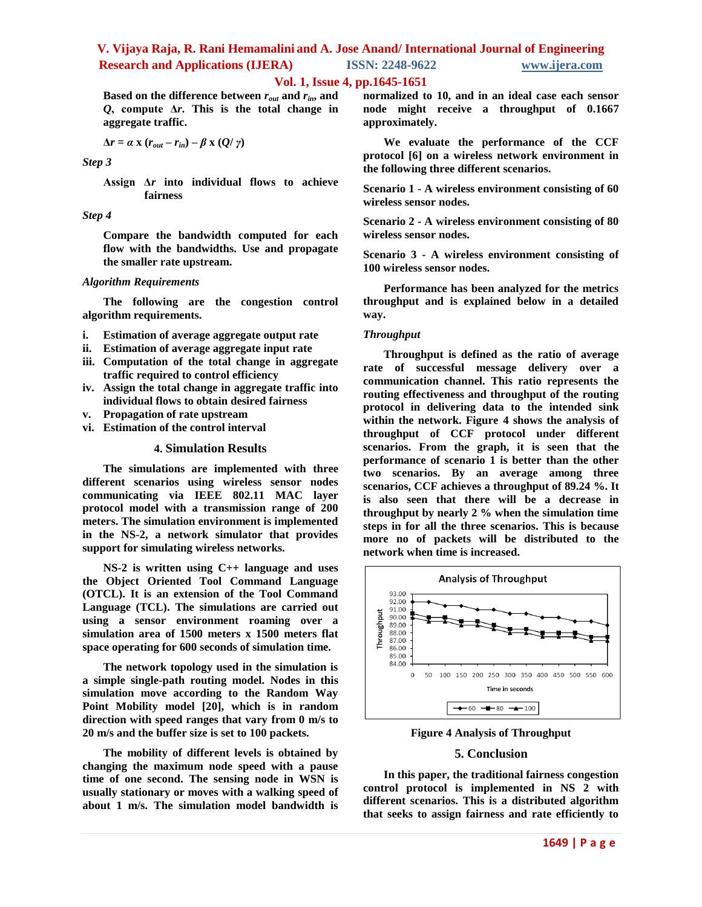## **Vol. 1, Issue 4, pp.1645-1651**

**Based on the difference between** *rout* **and** *rin***, and**  *Q***, compute Δ***r***. This is the total change in aggregate traffic.** 

$$
\Delta r = \alpha \times (r_{out} - r_{in}) - \beta \times (Q/\gamma)
$$

*Step 3*

**Assign Δ***r* **into individual flows to achieve fairness**

*Step 4*

**Compare the bandwidth computed for each flow with the bandwidths. Use and propagate the smaller rate upstream.**

### *Algorithm Requirements*

**The following are the congestion control algorithm requirements.**

- **i. Estimation of average aggregate output rate**
- **ii. Estimation of average aggregate input rate**
- **iii. Computation of the total change in aggregate traffic required to control efficiency**
- **iv. Assign the total change in aggregate traffic into individual flows to obtain desired fairness**
- **v. Propagation of rate upstream**
- **vi. Estimation of the control interval**

## **4. Simulation Results**

**The simulations are implemented with three different scenarios using wireless sensor nodes communicating via IEEE 802.11 MAC layer protocol model with a transmission range of 200 meters. The simulation environment is implemented in the NS-2, a network simulator that provides support for simulating wireless networks.** 

**NS-2 is written using C++ language and uses the Object Oriented Tool Command Language (OTCL). It is an extension of the Tool Command Language (TCL). The simulations are carried out using a sensor environment roaming over a simulation area of 1500 meters x 1500 meters flat space operating for 600 seconds of simulation time.** 

**The network topology used in the simulation is a simple single-path routing model. Nodes in this simulation move according to the Random Way Point Mobility model [20], which is in random direction with speed ranges that vary from 0 m/s to 20 m/s and the buffer size is set to 100 packets.**

**The mobility of different levels is obtained by changing the maximum node speed with a pause time of one second. The sensing node in WSN is usually stationary or moves with a walking speed of about 1 m/s. The simulation model bandwidth is** 

**normalized to 10, and in an ideal case each sensor node might receive a throughput of 0.1667 approximately.** 

**We evaluate the performance of the CCF protocol [6] on a wireless network environment in the following three different scenarios.** 

**Scenario 1 - A wireless environment consisting of 60 wireless sensor nodes.**

**Scenario 2 - A wireless environment consisting of 80 wireless sensor nodes.**

**Scenario 3 - A wireless environment consisting of 100 wireless sensor nodes.**

**Performance has been analyzed for the metrics throughput and is explained below in a detailed way.**

### *Throughput*

**Throughput is defined as the ratio of average rate of successful message delivery over a communication channel. This ratio represents the routing effectiveness and throughput of the routing protocol in delivering data to the intended sink within the network. Figure 4 shows the analysis of throughput of CCF protocol under different scenarios. From the graph, it is seen that the performance of scenario 1 is better than the other two scenarios. By an average among three scenarios, CCF achieves a throughput of 89.24 %. It is also seen that there will be a decrease in throughput by nearly 2 % when the simulation time steps in for all the three scenarios. This is because more no of packets will be distributed to the network when time is increased.**



**Figure 4 Analysis of Throughput**

### **5. Conclusion**

**In this paper, the traditional fairness congestion control protocol is implemented in NS 2 with different scenarios. This is a distributed algorithm that seeks to assign fairness and rate efficiently to**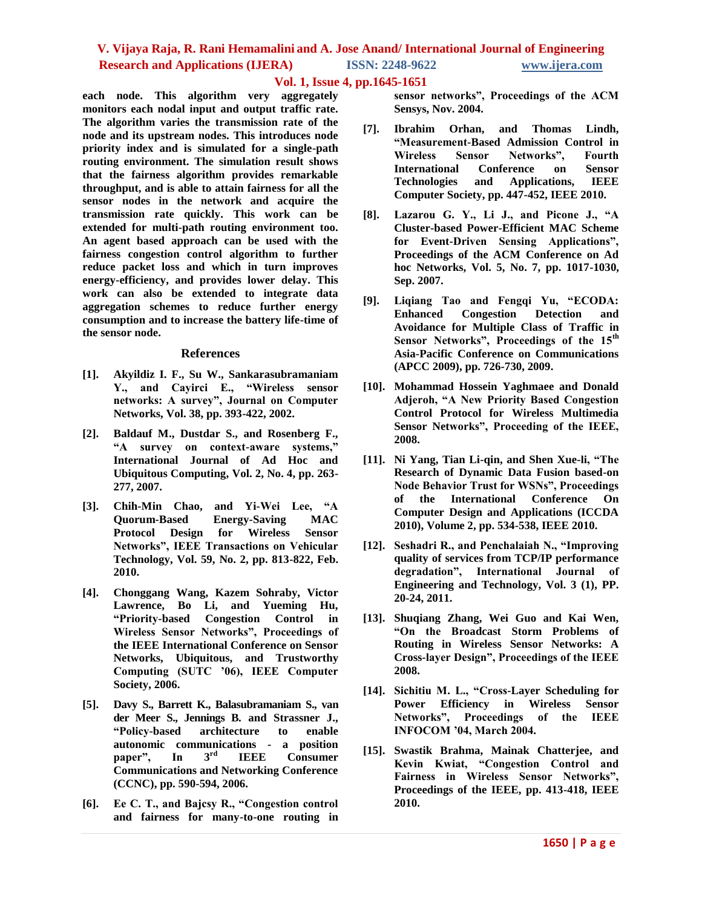## **Vol. 1, Issue 4, pp.1645-1651**

**each node. This algorithm very aggregately monitors each nodal input and output traffic rate. The algorithm varies the transmission rate of the node and its upstream nodes. This introduces node priority index and is simulated for a single-path routing environment. The simulation result shows that the fairness algorithm provides remarkable throughput, and is able to attain fairness for all the sensor nodes in the network and acquire the transmission rate quickly. This work can be extended for multi-path routing environment too. An agent based approach can be used with the fairness congestion control algorithm to further reduce packet loss and which in turn improves energy-efficiency, and provides lower delay. This work can also be extended to integrate data aggregation schemes to reduce further energy consumption and to increase the battery life-time of the sensor node.**

### **References**

- **[1]. Akyildiz I. F., Su W., Sankarasubramaniam Y., and Cayirci E., "Wireless sensor networks: A survey", Journal on Computer Networks, Vol. 38, pp. 393-422, 2002.**
- **[2]. Baldauf M., Dustdar S., and Rosenberg F., "A survey on context-aware systems," International Journal of Ad Hoc and Ubiquitous Computing, Vol. 2, No. 4, pp. 263- 277, 2007.**
- **[3]. Chih-Min Chao, and Yi-Wei Lee, "A Quorum-Based Energy-Saving MAC Protocol Design for Wireless Sensor Networks", IEEE Transactions on Vehicular Technology, Vol. 59, No. 2, pp. 813-822, Feb. 2010.**
- **[4]. Chonggang Wang, Kazem Sohraby, Victor Lawrence, Bo Li, and Yueming Hu, "Priority-based Congestion Control in Wireless Sensor Networks", Proceedings of the IEEE International Conference on Sensor Networks, Ubiquitous, and Trustworthy Computing (SUTC '06), IEEE Computer Society, 2006.**
- **[5]. Davy S., Barrett K., Balasubramaniam S., van der Meer S., Jennings B. and Strassner J., "Policy-based architecture to enable autonomic communications - a position paper", In 3 IEEE** Consumer **Communications and Networking Conference (CCNC), pp. 590-594, 2006.**
- **[6]. Ee C. T., and Bajcsy R., "Congestion control and fairness for many-to-one routing in**

**sensor networks", Proceedings of the ACM Sensys, Nov. 2004.**

- **[7]. Ibrahim Orhan, and Thomas Lindh, "Measurement-Based Admission Control in Wireless Sensor Networks", Fourth International Conference on Sensor Technologies and Applications, IEEE Computer Society, pp. 447-452, IEEE 2010.**
- **[8]. Lazarou G. Y., Li J., and Picone J., "A Cluster-based Power-Efficient MAC Scheme for Event-Driven Sensing Applications", Proceedings of the ACM Conference on Ad hoc Networks, Vol. 5, No. 7, pp. 1017-1030, Sep. 2007.**
- **[9]. Liqiang Tao and Fengqi Yu, "ECODA: Enhanced Congestion Detection and Avoidance for Multiple Class of Traffic in Sensor Networks", Proceedings of the 15th Asia-Pacific Conference on Communications (APCC 2009), pp. 726-730, 2009.**
- **[10]. Mohammad Hossein Yaghmaee and Donald Adjeroh, "A New Priority Based Congestion Control Protocol for Wireless Multimedia Sensor Networks", Proceeding of the IEEE, 2008.**
- **[11]. Ni Yang, Tian Li-qin, and Shen Xue-li, "The Research of Dynamic Data Fusion based-on Node Behavior Trust for WSNs", Proceedings of the International Conference On Computer Design and Applications (ICCDA 2010), Volume 2, pp. 534-538, IEEE 2010.**
- **[12]. Seshadri R., and Penchalaiah N., "Improving quality of services from TCP/IP performance degradation", International Journal of Engineering and Technology, Vol. 3 (1), PP. 20-24, 2011.**
- **[13]. Shuqiang Zhang, Wei Guo and Kai Wen, "On the Broadcast Storm Problems of Routing in Wireless Sensor Networks: A Cross-layer Design", Proceedings of the IEEE 2008.**
- **[14]. Sichitiu M. L., "Cross-Layer Scheduling for Power Efficiency in Wireless Sensor Networks", Proceedings of the IEEE INFOCOM '04, March 2004.**
- **[15]. Swastik Brahma, Mainak Chatterjee, and Kevin Kwiat, "Congestion Control and Fairness in Wireless Sensor Networks", Proceedings of the IEEE, pp. 413-418, IEEE 2010.**